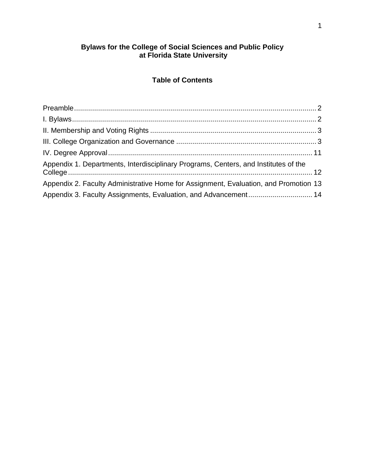#### **Bylaws for the College of Social Sciences and Public Policy at Florida State University**

# **Table of Contents**

| Appendix 1. Departments, Interdisciplinary Programs, Centers, and Institutes of the  |  |
|--------------------------------------------------------------------------------------|--|
| Appendix 2. Faculty Administrative Home for Assignment, Evaluation, and Promotion 13 |  |
| Appendix 3. Faculty Assignments, Evaluation, and Advancement 14                      |  |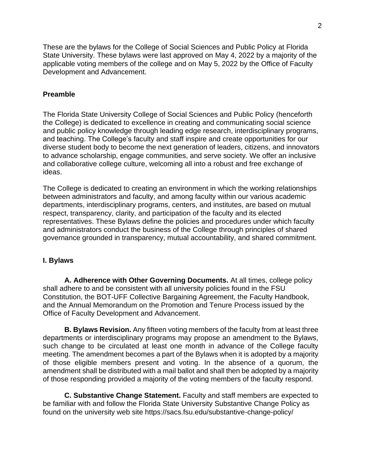These are the bylaws for the College of Social Sciences and Public Policy at Florida State University. These bylaws were last approved on May 4, 2022 by a majority of the applicable voting members of the college and on May 5, 2022 by the Office of Faculty Development and Advancement.

### <span id="page-1-0"></span>**Preamble**

The Florida State University College of Social Sciences and Public Policy (henceforth the College) is dedicated to excellence in creating and communicating social science and public policy knowledge through leading edge research, interdisciplinary programs, and teaching. The College's faculty and staff inspire and create opportunities for our diverse student body to become the next generation of leaders, citizens, and innovators to advance scholarship, engage communities, and serve society. We offer an inclusive and collaborative college culture, welcoming all into a robust and free exchange of ideas.

The College is dedicated to creating an environment in which the working relationships between administrators and faculty, and among faculty within our various academic departments, interdisciplinary programs, centers, and institutes, are based on mutual respect, transparency, clarity, and participation of the faculty and its elected representatives. These Bylaws define the policies and procedures under which faculty and administrators conduct the business of the College through principles of shared governance grounded in transparency, mutual accountability, and shared commitment.

#### <span id="page-1-1"></span>**I. Bylaws**

**A. Adherence with Other Governing Documents.** At all times, college policy shall adhere to and be consistent with all university policies found in the FSU Constitution, the BOT-UFF Collective Bargaining Agreement, the Faculty Handbook, and the Annual Memorandum on the Promotion and Tenure Process issued by the Office of Faculty Development and Advancement.

**B. Bylaws Revision.** Any fifteen voting members of the faculty from at least three departments or interdisciplinary programs may propose an amendment to the Bylaws, such change to be circulated at least one month in advance of the College faculty meeting. The amendment becomes a part of the Bylaws when it is adopted by a majority of those eligible members present and voting. In the absence of a quorum, the amendment shall be distributed with a mail ballot and shall then be adopted by a majority of those responding provided a majority of the voting members of the faculty respond.

**C. Substantive Change Statement.** Faculty and staff members are expected to be familiar with and follow the Florida State University Substantive Change Policy as found on the university web site https://sacs.fsu.edu/substantive-change-policy/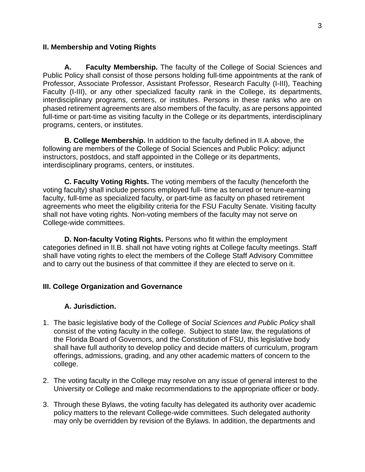### <span id="page-2-0"></span>**II. Membership and Voting Rights**

**A. Faculty Membership.** The faculty of the College of Social Sciences and Public Policy shall consist of those persons holding full-time appointments at the rank of Professor, Associate Professor, Assistant Professor, Research Faculty (I-III), Teaching Faculty (I-III), or any other specialized faculty rank in the College, its departments, interdisciplinary programs, centers, or institutes. Persons in these ranks who are on phased retirement agreements are also members of the faculty, as are persons appointed full-time or part-time as visiting faculty in the College or its departments, interdisciplinary programs, centers, or institutes.

**B. College Membership.** In addition to the faculty defined in II.A above, the following are members of the College of Social Sciences and Public Policy: adjunct instructors, postdocs, and staff appointed in the College or its departments, interdisciplinary programs, centers, or institutes.

**C. Faculty Voting Rights.** The voting members of the faculty (henceforth the voting faculty) shall include persons employed full- time as tenured or tenure-earning faculty, full-time as specialized faculty, or part-time as faculty on phased retirement agreements who meet the eligibility criteria for the FSU Faculty Senate. Visiting faculty shall not have voting rights. Non-voting members of the faculty may not serve on College-wide committees.

**D. Non-faculty Voting Rights.** Persons who fit within the employment categories defined in II.B. shall not have voting rights at College faculty meetings. Staff shall have voting rights to elect the members of the College Staff Advisory Committee and to carry out the business of that committee if they are elected to serve on it.

# <span id="page-2-1"></span>**III. College Organization and Governance**

# **A. Jurisdiction.**

- 1. The basic legislative body of the College of *Social Sciences and Public Policy* shall consist of the voting faculty in the college. Subject to state law, the regulations of the Florida Board of Governors, and the Constitution of FSU, this legislative body shall have full authority to develop policy and decide matters of curriculum, program offerings, admissions, grading, and any other academic matters of concern to the college.
- 2. The voting faculty in the College may resolve on any issue of general interest to the University or College and make recommendations to the appropriate officer or body.
- 3. Through these Bylaws, the voting faculty has delegated its authority over academic policy matters to the relevant College-wide committees. Such delegated authority may only be overridden by revision of the Bylaws. In addition, the departments and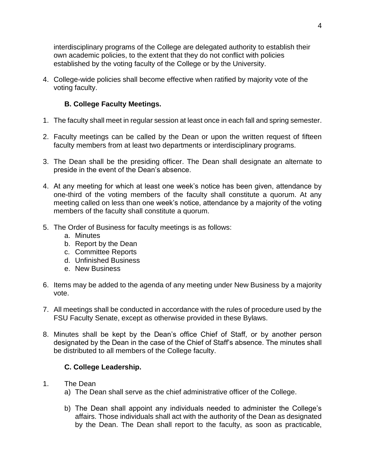interdisciplinary programs of the College are delegated authority to establish their own academic policies, to the extent that they do not conflict with policies established by the voting faculty of the College or by the University.

4. College-wide policies shall become effective when ratified by majority vote of the voting faculty.

# **B. College Faculty Meetings.**

- 1. The faculty shall meet in regular session at least once in each fall and spring semester.
- 2. Faculty meetings can be called by the Dean or upon the written request of fifteen faculty members from at least two departments or interdisciplinary programs.
- 3. The Dean shall be the presiding officer. The Dean shall designate an alternate to preside in the event of the Dean's absence.
- 4. At any meeting for which at least one week's notice has been given, attendance by one-third of the voting members of the faculty shall constitute a quorum. At any meeting called on less than one week's notice, attendance by a majority of the voting members of the faculty shall constitute a quorum.
- 5. The Order of Business for faculty meetings is as follows:
	- a. Minutes
	- b. Report by the Dean
	- c. Committee Reports
	- d. Unfinished Business
	- e. New Business
- 6. Items may be added to the agenda of any meeting under New Business by a majority vote.
- 7. All meetings shall be conducted in accordance with the rules of procedure used by the FSU Faculty Senate, except as otherwise provided in these Bylaws.
- 8. Minutes shall be kept by the Dean's office Chief of Staff, or by another person designated by the Dean in the case of the Chief of Staff's absence. The minutes shall be distributed to all members of the College faculty.

#### **C. College Leadership.**

- 1. The Dean
	- a) The Dean shall serve as the chief administrative officer of the College.
	- b) The Dean shall appoint any individuals needed to administer the College's affairs. Those individuals shall act with the authority of the Dean as designated by the Dean. The Dean shall report to the faculty, as soon as practicable,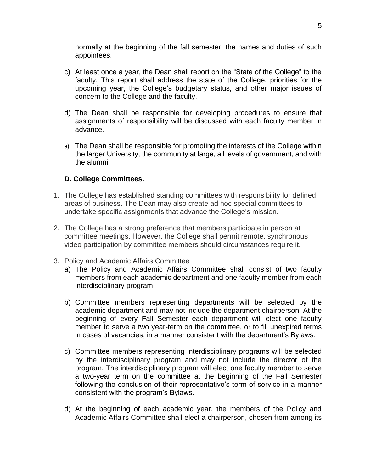normally at the beginning of the fall semester, the names and duties of such appointees.

- c) At least once a year, the Dean shall report on the "State of the College" to the faculty. This report shall address the state of the College, priorities for the upcoming year, the College's budgetary status, and other major issues of concern to the College and the faculty.
- d) The Dean shall be responsible for developing procedures to ensure that assignments of responsibility will be discussed with each faculty member in advance.
- e) The Dean shall be responsible for promoting the interests of the College within the larger University, the community at large, all levels of government, and with the alumni.

#### **D. College Committees.**

- 1. The College has established standing committees with responsibility for defined areas of business. The Dean may also create ad hoc special committees to undertake specific assignments that advance the College's mission.
- 2. The College has a strong preference that members participate in person at committee meetings. However, the College shall permit remote, synchronous video participation by committee members should circumstances require it.
- 3. Policy and Academic Affairs Committee
	- a) The Policy and Academic Affairs Committee shall consist of two faculty members from each academic department and one faculty member from each interdisciplinary program.
	- b) Committee members representing departments will be selected by the academic department and may not include the department chairperson. At the beginning of every Fall Semester each department will elect one faculty member to serve a two year-term on the committee, or to fill unexpired terms in cases of vacancies, in a manner consistent with the department's Bylaws.
	- c) Committee members representing interdisciplinary programs will be selected by the interdisciplinary program and may not include the director of the program. The interdisciplinary program will elect one faculty member to serve a two-year term on the committee at the beginning of the Fall Semester following the conclusion of their representative's term of service in a manner consistent with the program's Bylaws.
	- d) At the beginning of each academic year, the members of the Policy and Academic Affairs Committee shall elect a chairperson, chosen from among its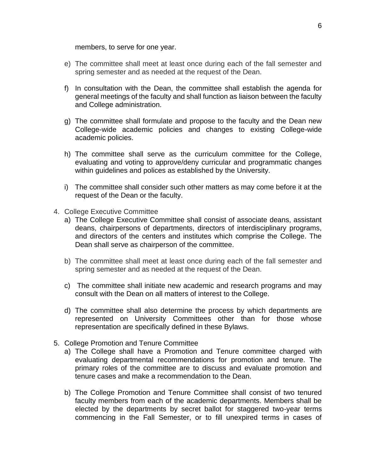members, to serve for one year.

- e) The committee shall meet at least once during each of the fall semester and spring semester and as needed at the request of the Dean.
- f) In consultation with the Dean, the committee shall establish the agenda for general meetings of the faculty and shall function as liaison between the faculty and College administration.
- g) The committee shall formulate and propose to the faculty and the Dean new College-wide academic policies and changes to existing College-wide academic policies.
- h) The committee shall serve as the curriculum committee for the College, evaluating and voting to approve/deny curricular and programmatic changes within guidelines and polices as established by the University.
- i) The committee shall consider such other matters as may come before it at the request of the Dean or the faculty.
- 4. College Executive Committee
	- a) The College Executive Committee shall consist of associate deans, assistant deans, chairpersons of departments, directors of interdisciplinary programs, and directors of the centers and institutes which comprise the College. The Dean shall serve as chairperson of the committee.
	- b) The committee shall meet at least once during each of the fall semester and spring semester and as needed at the request of the Dean.
	- c) The committee shall initiate new academic and research programs and may consult with the Dean on all matters of interest to the College.
	- d) The committee shall also determine the process by which departments are represented on University Committees other than for those whose representation are specifically defined in these Bylaws.
- 5. College Promotion and Tenure Committee
	- a) The College shall have a Promotion and Tenure committee charged with evaluating departmental recommendations for promotion and tenure. The primary roles of the committee are to discuss and evaluate promotion and tenure cases and make a recommendation to the Dean.
	- b) The College Promotion and Tenure Committee shall consist of two tenured faculty members from each of the academic departments. Members shall be elected by the departments by secret ballot for staggered two-year terms commencing in the Fall Semester, or to fill unexpired terms in cases of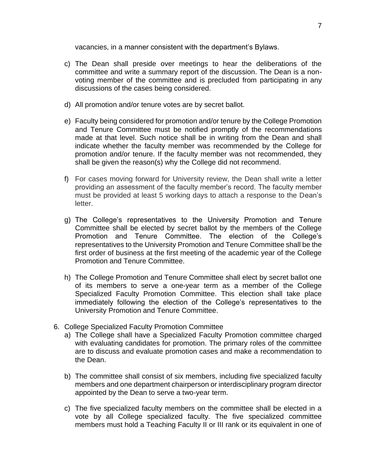vacancies, in a manner consistent with the department's Bylaws.

- c) The Dean shall preside over meetings to hear the deliberations of the committee and write a summary report of the discussion. The Dean is a nonvoting member of the committee and is precluded from participating in any discussions of the cases being considered.
- d) All promotion and/or tenure votes are by secret ballot.
- e) Faculty being considered for promotion and/or tenure by the College Promotion and Tenure Committee must be notified promptly of the recommendations made at that level. Such notice shall be in writing from the Dean and shall indicate whether the faculty member was recommended by the College for promotion and/or tenure. If the faculty member was not recommended, they shall be given the reason(s) why the College did not recommend.
- f) For cases moving forward for University review, the Dean shall write a letter providing an assessment of the faculty member's record. The faculty member must be provided at least 5 working days to attach a response to the Dean's letter.
- g) The College's representatives to the University Promotion and Tenure Committee shall be elected by secret ballot by the members of the College Promotion and Tenure Committee. The election of the College's representatives to the University Promotion and Tenure Committee shall be the first order of business at the first meeting of the academic year of the College Promotion and Tenure Committee.
- h) The College Promotion and Tenure Committee shall elect by secret ballot one of its members to serve a one-year term as a member of the College Specialized Faculty Promotion Committee. This election shall take place immediately following the election of the College's representatives to the University Promotion and Tenure Committee.
- 6. College Specialized Faculty Promotion Committee
	- a) The College shall have a Specialized Faculty Promotion committee charged with evaluating candidates for promotion. The primary roles of the committee are to discuss and evaluate promotion cases and make a recommendation to the Dean.
	- b) The committee shall consist of six members, including five specialized faculty members and one department chairperson or interdisciplinary program director appointed by the Dean to serve a two-year term.
	- c) The five specialized faculty members on the committee shall be elected in a vote by all College specialized faculty. The five specialized committee members must hold a Teaching Faculty II or III rank or its equivalent in one of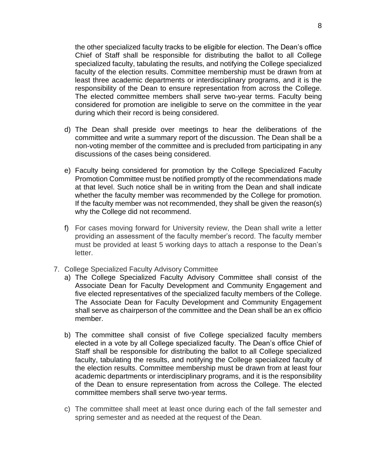the other specialized faculty tracks to be eligible for election. The Dean's office Chief of Staff shall be responsible for distributing the ballot to all College specialized faculty, tabulating the results, and notifying the College specialized faculty of the election results. Committee membership must be drawn from at least three academic departments or interdisciplinary programs, and it is the responsibility of the Dean to ensure representation from across the College. The elected committee members shall serve two-year terms. Faculty being considered for promotion are ineligible to serve on the committee in the year during which their record is being considered.

- d) The Dean shall preside over meetings to hear the deliberations of the committee and write a summary report of the discussion. The Dean shall be a non-voting member of the committee and is precluded from participating in any discussions of the cases being considered.
- e) Faculty being considered for promotion by the College Specialized Faculty Promotion Committee must be notified promptly of the recommendations made at that level. Such notice shall be in writing from the Dean and shall indicate whether the faculty member was recommended by the College for promotion. If the faculty member was not recommended, they shall be given the reason(s) why the College did not recommend.
- f) For cases moving forward for University review, the Dean shall write a letter providing an assessment of the faculty member's record. The faculty member must be provided at least 5 working days to attach a response to the Dean's letter.
- 7. College Specialized Faculty Advisory Committee
	- a) The College Specialized Faculty Advisory Committee shall consist of the Associate Dean for Faculty Development and Community Engagement and five elected representatives of the specialized faculty members of the College. The Associate Dean for Faculty Development and Community Engagement shall serve as chairperson of the committee and the Dean shall be an ex officio member.
	- b) The committee shall consist of five College specialized faculty members elected in a vote by all College specialized faculty. The Dean's office Chief of Staff shall be responsible for distributing the ballot to all College specialized faculty, tabulating the results, and notifying the College specialized faculty of the election results. Committee membership must be drawn from at least four academic departments or interdisciplinary programs, and it is the responsibility of the Dean to ensure representation from across the College. The elected committee members shall serve two-year terms.
	- c) The committee shall meet at least once during each of the fall semester and spring semester and as needed at the request of the Dean.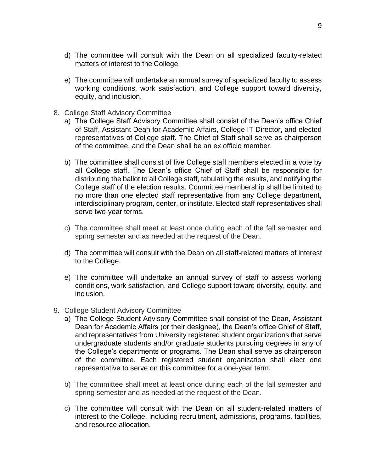- d) The committee will consult with the Dean on all specialized faculty-related matters of interest to the College.
- e) The committee will undertake an annual survey of specialized faculty to assess working conditions, work satisfaction, and College support toward diversity, equity, and inclusion.
- 8. College Staff Advisory Committee
	- a) The College Staff Advisory Committee shall consist of the Dean's office Chief of Staff, Assistant Dean for Academic Affairs, College IT Director, and elected representatives of College staff. The Chief of Staff shall serve as chairperson of the committee, and the Dean shall be an ex officio member.
	- b) The committee shall consist of five College staff members elected in a vote by all College staff. The Dean's office Chief of Staff shall be responsible for distributing the ballot to all College staff, tabulating the results, and notifying the College staff of the election results. Committee membership shall be limited to no more than one elected staff representative from any College department, interdisciplinary program, center, or institute. Elected staff representatives shall serve two-year terms.
	- c) The committee shall meet at least once during each of the fall semester and spring semester and as needed at the request of the Dean.
	- d) The committee will consult with the Dean on all staff-related matters of interest to the College.
	- e) The committee will undertake an annual survey of staff to assess working conditions, work satisfaction, and College support toward diversity, equity, and inclusion.
- 9. College Student Advisory Committee
	- a) The College Student Advisory Committee shall consist of the Dean, Assistant Dean for Academic Affairs (or their designee), the Dean's office Chief of Staff, and representatives from University registered student organizations that serve undergraduate students and/or graduate students pursuing degrees in any of the College's departments or programs. The Dean shall serve as chairperson of the committee. Each registered student organization shall elect one representative to serve on this committee for a one-year term.
	- b) The committee shall meet at least once during each of the fall semester and spring semester and as needed at the request of the Dean.
	- c) The committee will consult with the Dean on all student-related matters of interest to the College, including recruitment, admissions, programs, facilities, and resource allocation.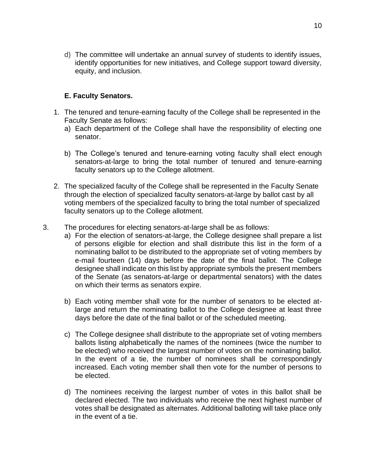d) The committee will undertake an annual survey of students to identify issues, identify opportunities for new initiatives, and College support toward diversity, equity, and inclusion.

## **E. Faculty Senators.**

- 1. The tenured and tenure-earning faculty of the College shall be represented in the Faculty Senate as follows:
	- a) Each department of the College shall have the responsibility of electing one senator.
	- b) The College's tenured and tenure-earning voting faculty shall elect enough senators-at-large to bring the total number of tenured and tenure-earning faculty senators up to the College allotment.
- 2. The specialized faculty of the College shall be represented in the Faculty Senate through the election of specialized faculty senators-at-large by ballot cast by all voting members of the specialized faculty to bring the total number of specialized faculty senators up to the College allotment.
- 3. The procedures for electing senators-at-large shall be as follows:
	- a) For the election of senators-at-large, the College designee shall prepare a list of persons eligible for election and shall distribute this list in the form of a nominating ballot to be distributed to the appropriate set of voting members by e-mail fourteen (14) days before the date of the final ballot. The College designee shall indicate on this list by appropriate symbols the present members of the Senate (as senators-at-large or departmental senators) with the dates on which their terms as senators expire.
	- b) Each voting member shall vote for the number of senators to be elected atlarge and return the nominating ballot to the College designee at least three days before the date of the final ballot or of the scheduled meeting.
	- c) The College designee shall distribute to the appropriate set of voting members ballots listing alphabetically the names of the nominees (twice the number to be elected) who received the largest number of votes on the nominating ballot. In the event of a tie, the number of nominees shall be correspondingly increased. Each voting member shall then vote for the number of persons to be elected.
	- d) The nominees receiving the largest number of votes in this ballot shall be declared elected. The two individuals who receive the next highest number of votes shall be designated as alternates. Additional balloting will take place only in the event of a tie.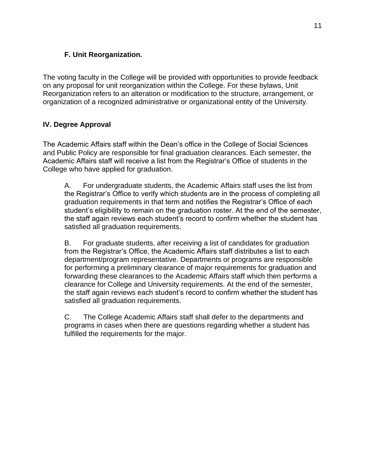# **F. Unit Reorganization.**

<span id="page-10-0"></span>The voting faculty in the College will be provided with opportunities to provide feedback on any proposal for unit reorganization within the College. For these bylaws, Unit Reorganization refers to an alteration or modification to the structure, arrangement, or organization of a recognized administrative or organizational entity of the University.

# **IV. Degree Approval**

The Academic Affairs staff within the Dean's office in the College of Social Sciences and Public Policy are responsible for final graduation clearances. Each semester, the Academic Affairs staff will receive a list from the Registrar's Office of students in the College who have applied for graduation.

A. For undergraduate students, the Academic Affairs staff uses the list from the Registrar's Office to verify which students are in the process of completing all graduation requirements in that term and notifies the Registrar's Office of each student's eligibility to remain on the graduation roster. At the end of the semester, the staff again reviews each student's record to confirm whether the student has satisfied all graduation requirements.

B. For graduate students, after receiving a list of candidates for graduation from the Registrar's Office, the Academic Affairs staff distributes a list to each department/program representative. Departments or programs are responsible for performing a preliminary clearance of major requirements for graduation and forwarding these clearances to the Academic Affairs staff which then performs a clearance for College and University requirements. At the end of the semester, the staff again reviews each student's record to confirm whether the student has satisfied all graduation requirements.

C. The College Academic Affairs staff shall defer to the departments and programs in cases when there are questions regarding whether a student has fulfilled the requirements for the major.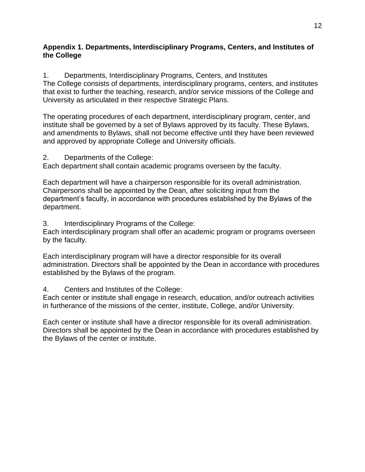## <span id="page-11-0"></span>**Appendix 1. Departments, Interdisciplinary Programs, Centers, and Institutes of the College**

1. Departments, Interdisciplinary Programs, Centers, and Institutes The College consists of departments, interdisciplinary programs, centers, and institutes that exist to further the teaching, research, and/or service missions of the College and University as articulated in their respective Strategic Plans.

The operating procedures of each department, interdisciplinary program, center, and institute shall be governed by a set of Bylaws approved by its faculty. These Bylaws, and amendments to Bylaws, shall not become effective until they have been reviewed and approved by appropriate College and University officials.

## 2. Departments of the College:

Each department shall contain academic programs overseen by the faculty.

Each department will have a chairperson responsible for its overall administration. Chairpersons shall be appointed by the Dean, after soliciting input from the department's faculty, in accordance with procedures established by the Bylaws of the department.

3. Interdisciplinary Programs of the College:

Each interdisciplinary program shall offer an academic program or programs overseen by the faculty.

Each interdisciplinary program will have a director responsible for its overall administration. Directors shall be appointed by the Dean in accordance with procedures established by the Bylaws of the program.

4. Centers and Institutes of the College:

Each center or institute shall engage in research, education, and/or outreach activities in furtherance of the missions of the center, institute, College, and/or University.

Each center or institute shall have a director responsible for its overall administration. Directors shall be appointed by the Dean in accordance with procedures established by the Bylaws of the center or institute.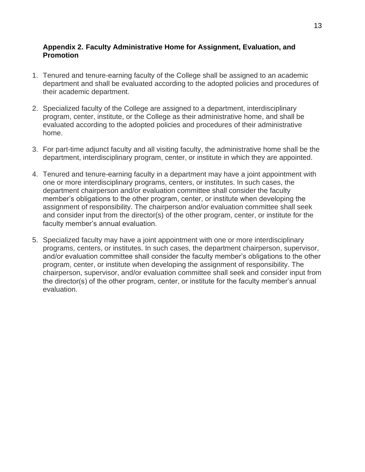#### <span id="page-12-0"></span>**Appendix 2. Faculty Administrative Home for Assignment, Evaluation, and Promotion**

- 1. Tenured and tenure-earning faculty of the College shall be assigned to an academic department and shall be evaluated according to the adopted policies and procedures of their academic department.
- 2. Specialized faculty of the College are assigned to a department, interdisciplinary program, center, institute, or the College as their administrative home, and shall be evaluated according to the adopted policies and procedures of their administrative home.
- 3. For part-time adjunct faculty and all visiting faculty, the administrative home shall be the department, interdisciplinary program, center, or institute in which they are appointed.
- 4. Tenured and tenure-earning faculty in a department may have a joint appointment with one or more interdisciplinary programs, centers, or institutes. In such cases, the department chairperson and/or evaluation committee shall consider the faculty member's obligations to the other program, center, or institute when developing the assignment of responsibility. The chairperson and/or evaluation committee shall seek and consider input from the director(s) of the other program, center, or institute for the faculty member's annual evaluation.
- 5. Specialized faculty may have a joint appointment with one or more interdisciplinary programs, centers, or institutes. In such cases, the department chairperson, supervisor, and/or evaluation committee shall consider the faculty member's obligations to the other program, center, or institute when developing the assignment of responsibility. The chairperson, supervisor, and/or evaluation committee shall seek and consider input from the director(s) of the other program, center, or institute for the faculty member's annual evaluation.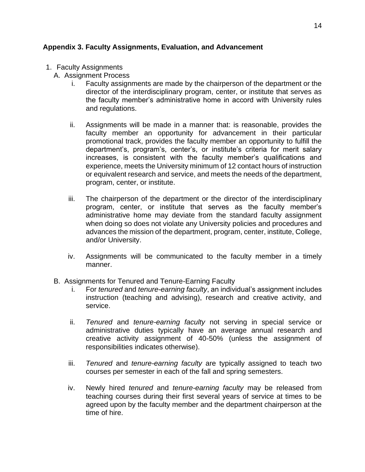## <span id="page-13-0"></span>**Appendix 3. Faculty Assignments, Evaluation, and Advancement**

- 1. Faculty Assignments
	- A. Assignment Process
		- i. Faculty assignments are made by the chairperson of the department or the director of the interdisciplinary program, center, or institute that serves as the faculty member's administrative home in accord with University rules and regulations.
		- ii. Assignments will be made in a manner that: is reasonable, provides the faculty member an opportunity for advancement in their particular promotional track, provides the faculty member an opportunity to fulfill the department's, program's, center's, or institute's criteria for merit salary increases, is consistent with the faculty member's qualifications and experience, meets the University minimum of 12 contact hours of instruction or equivalent research and service, and meets the needs of the department, program, center, or institute.
		- iii. The chairperson of the department or the director of the interdisciplinary program, center, or institute that serves as the faculty member's administrative home may deviate from the standard faculty assignment when doing so does not violate any University policies and procedures and advances the mission of the department, program, center, institute, College, and/or University.
		- iv. Assignments will be communicated to the faculty member in a timely manner.
	- B. Assignments for Tenured and Tenure-Earning Faculty
		- i. For *tenured* and *tenure-earning faculty*, an individual's assignment includes instruction (teaching and advising), research and creative activity, and service.
		- ii. *Tenured* and *tenure-earning faculty* not serving in special service or administrative duties typically have an average annual research and creative activity assignment of 40-50% (unless the assignment of responsibilities indicates otherwise).
		- iii. *Tenured* and *tenure-earning faculty* are typically assigned to teach two courses per semester in each of the fall and spring semesters.
		- iv. Newly hired *tenured* and *tenure-earning faculty* may be released from teaching courses during their first several years of service at times to be agreed upon by the faculty member and the department chairperson at the time of hire.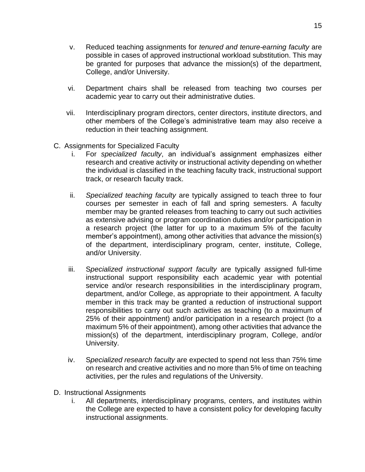- v. Reduced teaching assignments for *tenured and tenure-earning faculty* are possible in cases of approved instructional workload substitution. This may be granted for purposes that advance the mission(s) of the department, College, and/or University.
- vi. Department chairs shall be released from teaching two courses per academic year to carry out their administrative duties.
- vii. Interdisciplinary program directors, center directors, institute directors, and other members of the College's administrative team may also receive a reduction in their teaching assignment.
- C. Assignments for Specialized Faculty
	- i. For *specialized faculty*, an individual's assignment emphasizes either research and creative activity or instructional activity depending on whether the individual is classified in the teaching faculty track, instructional support track, or research faculty track.
	- ii. *Specialized teaching faculty* are typically assigned to teach three to four courses per semester in each of fall and spring semesters. A faculty member may be granted releases from teaching to carry out such activities as extensive advising or program coordination duties and/or participation in a research project (the latter for up to a maximum 5% of the faculty member's appointment), among other activities that advance the mission(s) of the department, interdisciplinary program, center, institute, College, and/or University.
	- iii. S*pecialized instructional support faculty* are typically assigned full-time instructional support responsibility each academic year with potential service and/or research responsibilities in the interdisciplinary program, department, and/or College, as appropriate to their appointment. A faculty member in this track may be granted a reduction of instructional support responsibilities to carry out such activities as teaching (to a maximum of 25% of their appointment) and/or participation in a research project (to a maximum 5% of their appointment), among other activities that advance the mission(s) of the department, interdisciplinary program, College, and/or University.
	- iv. S*pecialized research faculty* are expected to spend not less than 75% time on research and creative activities and no more than 5% of time on teaching activities, per the rules and regulations of the University.
- D. Instructional Assignments
	- i. All departments, interdisciplinary programs, centers, and institutes within the College are expected to have a consistent policy for developing faculty instructional assignments.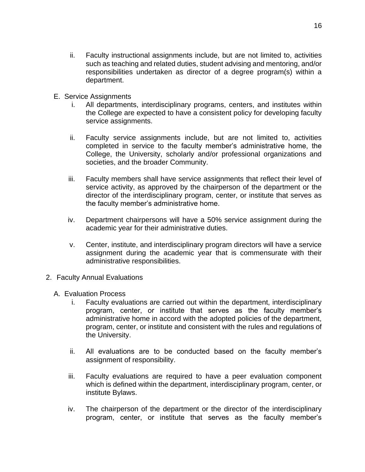- ii. Faculty instructional assignments include, but are not limited to, activities such as teaching and related duties, student advising and mentoring, and/or responsibilities undertaken as director of a degree program(s) within a department.
- E. Service Assignments
	- i. All departments, interdisciplinary programs, centers, and institutes within the College are expected to have a consistent policy for developing faculty service assignments.
	- ii. Faculty service assignments include, but are not limited to, activities completed in service to the faculty member's administrative home, the College, the University, scholarly and/or professional organizations and societies, and the broader Community.
	- iii. Faculty members shall have service assignments that reflect their level of service activity, as approved by the chairperson of the department or the director of the interdisciplinary program, center, or institute that serves as the faculty member's administrative home.
	- iv. Department chairpersons will have a 50% service assignment during the academic year for their administrative duties.
	- v. Center, institute, and interdisciplinary program directors will have a service assignment during the academic year that is commensurate with their administrative responsibilities.
- 2. Faculty Annual Evaluations
	- A. Evaluation Process
		- i. Faculty evaluations are carried out within the department, interdisciplinary program, center, or institute that serves as the faculty member's administrative home in accord with the adopted policies of the department, program, center, or institute and consistent with the rules and regulations of the University.
		- ii. All evaluations are to be conducted based on the faculty member's assignment of responsibility.
		- iii. Faculty evaluations are required to have a peer evaluation component which is defined within the department, interdisciplinary program, center, or institute Bylaws.
		- iv. The chairperson of the department or the director of the interdisciplinary program, center, or institute that serves as the faculty member's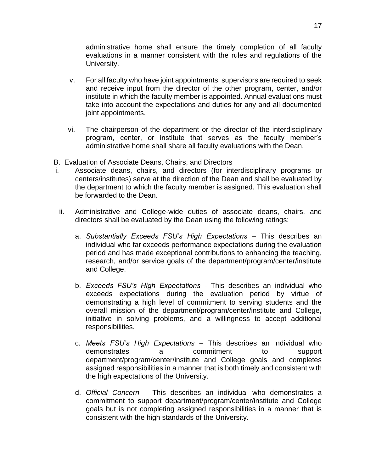administrative home shall ensure the timely completion of all faculty evaluations in a manner consistent with the rules and regulations of the University.

- v. For all faculty who have joint appointments, supervisors are required to seek and receive input from the director of the other program, center, and/or institute in which the faculty member is appointed. Annual evaluations must take into account the expectations and duties for any and all documented joint appointments,
- vi. The chairperson of the department or the director of the interdisciplinary program, center, or institute that serves as the faculty member's administrative home shall share all faculty evaluations with the Dean.
- B. Evaluation of Associate Deans, Chairs, and Directors
- i. Associate deans, chairs, and directors (for interdisciplinary programs or centers/institutes) serve at the direction of the Dean and shall be evaluated by the department to which the faculty member is assigned. This evaluation shall be forwarded to the Dean.
- ii. Administrative and College-wide duties of associate deans, chairs, and directors shall be evaluated by the Dean using the following ratings:
	- a. *Substantially Exceeds FSU's High Expectations* This describes an individual who far exceeds performance expectations during the evaluation period and has made exceptional contributions to enhancing the teaching, research, and/or service goals of the department/program/center/institute and College.
	- b. *Exceeds FSU's High Expectations* This describes an individual who exceeds expectations during the evaluation period by virtue of demonstrating a high level of commitment to serving students and the overall mission of the department/program/center/institute and College, initiative in solving problems, and a willingness to accept additional responsibilities.
	- c. *Meets FSU's High Expectations* This describes an individual who demonstrates a commitment to support department/program/center/institute and College goals and completes assigned responsibilities in a manner that is both timely and consistent with the high expectations of the University.
	- d. *Official Concern* This describes an individual who demonstrates a commitment to support department/program/center/institute and College goals but is not completing assigned responsibilities in a manner that is consistent with the high standards of the University.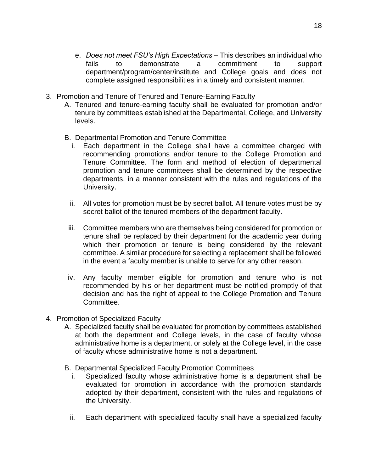- e. *Does not meet FSU's High Expectations* This describes an individual who fails to demonstrate a commitment to support department/program/center/institute and College goals and does not complete assigned responsibilities in a timely and consistent manner.
- 3. Promotion and Tenure of Tenured and Tenure-Earning Faculty
	- A. Tenured and tenure-earning faculty shall be evaluated for promotion and/or tenure by committees established at the Departmental, College, and University levels.
	- B. Departmental Promotion and Tenure Committee
		- i. Each department in the College shall have a committee charged with recommending promotions and/or tenure to the College Promotion and Tenure Committee. The form and method of election of departmental promotion and tenure committees shall be determined by the respective departments, in a manner consistent with the rules and regulations of the University.
		- ii. All votes for promotion must be by secret ballot. All tenure votes must be by secret ballot of the tenured members of the department faculty.
		- iii. Committee members who are themselves being considered for promotion or tenure shall be replaced by their department for the academic year during which their promotion or tenure is being considered by the relevant committee. A similar procedure for selecting a replacement shall be followed in the event a faculty member is unable to serve for any other reason.
		- iv. Any faculty member eligible for promotion and tenure who is not recommended by his or her department must be notified promptly of that decision and has the right of appeal to the College Promotion and Tenure Committee.
- 4. Promotion of Specialized Faculty
	- A. Specialized faculty shall be evaluated for promotion by committees established at both the department and College levels, in the case of faculty whose administrative home is a department, or solely at the College level, in the case of faculty whose administrative home is not a department.
	- B. Departmental Specialized Faculty Promotion Committees
		- i. Specialized faculty whose administrative home is a department shall be evaluated for promotion in accordance with the promotion standards adopted by their department, consistent with the rules and regulations of the University.
		- ii. Each department with specialized faculty shall have a specialized faculty